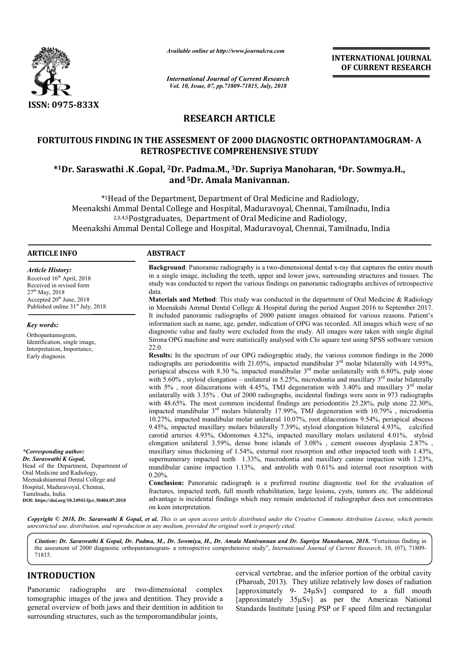

*Available online at http://www.journalcra.com*

*International Journal of Current Research Vol. 10, Issue, 07, pp.71809-71815, July, 2018*

**INTERNATIONAL JOURNAL OF CURRENT RESEARCH**

# **RESEARCH ARTICLE**

# **FORTUITOUS FINDING IN THE ASSESMENT OF 2000 DIAGNOSTIC E ORTHOPANTAMOGRAM ORTHOPANTAMOGRAM- A RETROSPECTIVE COMPREHENSIVE STUDY**

# **\*1Dr. Saraswathi .K .Gopal, Gopal, 2Dr. Padma.M., 3Dr. Supriya Manoharan, Dr. Supriya Manoharan, 4Dr. Sowmya.H., and 5Dr. Amala Manivannan.**

\*1Head of the Department, Department of Oral Medicine and Radiology, dicine Meenakshi Ammal Dental College and Hospital, Maduravoyal, Chennai, Tamilnadu, India Ammal Dental College and Hospital, Maduravoyal, Chennai, Tami<br><sup>2,3,4,5</sup>Postgraduates, Department of Oral Medicine and Radiology, Meenakshi Ammal Dental College and Hospital, Maduravoyal, Chennai, Tamilnadu, India mmal

### **ARTICLE INFO ABSTRACT**

*Article History:* Received 16<sup>th</sup> April, 2018 Received in revised form  $27^{th}$  May, 2018 Accepted 20<sup>th</sup> June, 2018 Published online 31<sup>st</sup> July, 2018

*Key words:* Orthopantamogram, Identification, single image, Interpretation, Importance,

Early diagnosis.

*\*Corresponding author: Dr. Saraswathi K Gopal,* 

Tamilnadu, India.

Oral Medicine and Radiology, Meenakshiammal Dental College and Hospital, Maduravoyal, Chennai,

Head of the Department, Department of

**DOI: https://doi.org/10.24941/ijcr.30404.07.2018**

**Background**: Panoramic radiography is a two-dimensional dental x-ray that captures the entire mouth in a single image, including the teeth, upper and lower jaws, surrounding structures and tissues. The in a single image, including the teeth, upper and lower jaws, surrounding structures and tissues. The study was conducted to report the various findings on panoramic radiographs archives of retrospective data.

**Materials and Method** : This study was conducted in the department of Oral Medicine & Radiology Materials and Method: This study was conducted in the department of Oral Medicine & Radiology<br>in Meenakshi Ammal Dental College & Hospital during the period August 2016 to September 2017. It included panoramic radiographs of 2000 patient images obtained for various reasons. Patient's It included panoramic radiographs of 2000 patient images obtained for various reasons. Patient's information such as name, age, gender, indication of OPG was recorded. All images which were of no diagnostic value and faulty were excluded from the study. All images were taken with single digital Sirona OPG machine and were statistically analysed with Chi square test using SPSS software version 22.0. eenakshi Ammal Dental College & Hospital during the period August 2016 to September 2017.<br>cluded panoramic radiographs of 2000 patient images obtained for various reasons. Patient's<br>mation such as name, age, gender, indica faulty were excluded from the study. All images were taken with single digital and were statistically analysed with Chi square test using SPSS software version rum of our OPG radiographic study, the various common finding

**Results:** In the spectrum of our OPG radiographic study, the various common findings in the 2000 radiographs are periodontitis with 21.05%, impacted mandibular 3 periapical abscess with 8.30 %, impacted mandibular 3 with 5.60% , styloid el with 5%, root dilacerations with 4.45%, TMJ degeneration with 3.40% and maxillary  $3<sup>rd</sup>$  molar unilaterally with 3.35%. Out of 2000 radiographs, incidental findings were seen in 973 radiographs with 48.65%. The most common incidental findings are periodontitis 25.28%, pulp stone 22.30%, impacted mandibular 3 10.27%, impacted mandibular molar unilateral 10.07 9.45%, impacted maxillary molars bilaterally 7.39%, styloid elongation bilateral 4.93%, calcified carotid arteries 4.93%, Odontomes 4.32%, impacted maxillary molars unilateral 4.01%, styloid elongation un unilateral 3.59%, dense bone islands of 3.08% , cement osseous dysplasia 2.87% , maxillary sinus thickening of 1.54%, external root resorption and other impacted teeth with 1.43%, supernumerary impacted teeth 1.33%, macrodontia and maxillary canine impaction with 1.23%, mandibular canine impaction 1.13%, and antrolith with 0.61% and internal root resorption with 0.20%. 3<sup>rd</sup> molar unilaterally with 6.80%, pulp stone elongation – unilateral in 5.25%, microdontia and maxillary 3  $3<sup>rd</sup>$  molars bilaterally 17.99%, TMJ degeneration with 10.79%, microdontia 10.07%, root dilacerations 9.54%, periapical abscess mandibular  $3^{rd}$  molar unilaterally with 6.80%, pulp stone in 5.25%, microdontia and maxillary  $3^{rd}$  molar bilaterally .65%. The most common incidental findings are periodontitis 25.28%, pulp stone 22.30%, d mandibular  $3^{\text{rd}}$  molars bilaterally 17.99%, TMJ degeneration with 10.79% , microdontia impacted mandibular molar unilateral 10.0

**Conclusion:**  Panoramic radiograph is a preferred routine diagnostic tool for the evaluation of fractures, impacted teeth, full mouth rehabilitation, large lesions, cysts, tumors etc. The additional advantage is incidental findings which may remain undetected if radiographer does not concentrates on keen interpretation. action 1.13%, and antrolith with 0.61% and internal root resorption with<br>c radiograph is a preferred routine diagnostic tool for the evaluation of<br>h, full mouth rehabilitation, large lesions, cysts, tumors etc. The additio

Copyright © 2018, Dr. Saraswathi K Gopal, et al. This is an open access article distributed under the Creative Commons Attribution License, which permits *unrestricted use, distribution, and reproduction in any medium, provided the original work is properly cited.*

*Citation***:** *Dr. Saraswathi K Gopal, Dr. Padma, M., Dr. Sowmiya, H., Dr. Amala Manivannan and Dr. Supriya Manoharan Sowmiya, Manoharan, 2018***.** "Fortuitous finding in the assesment of 2000 diagnostic orthopantamogram- a retrospective comprehensive study", *International Journal of Current Research*, 10, (07), 71809-71815.

# **INTRODUCTION**

Panoramic radiographs are two-dimensional complex tomographic images of the jaws and dentition. They provide a general overview of both jaws and their dentition in addition to surrounding structures, such as the temporomandibular joints,

cervical vertebrae, and the inferior portion of the orbital cavity<br>(Pharoah, 2013). They utilize relatively low doses of radiation<br>(approximately 9- 24µSv] compared to a full mouth (Pharoah, 2013). They utilize relatively low doses of radiation [approximately 35µSv] as per the American National Standards Institute [using PSP or F speed film and rectangular cervical vertebrae, and the inferior portion of the orbital cavity 9-  $24\mu Sv$ ] compared to a full mouth  $35\mu Sv$ ] as per the American National e [using PSP or F speed film and rectangular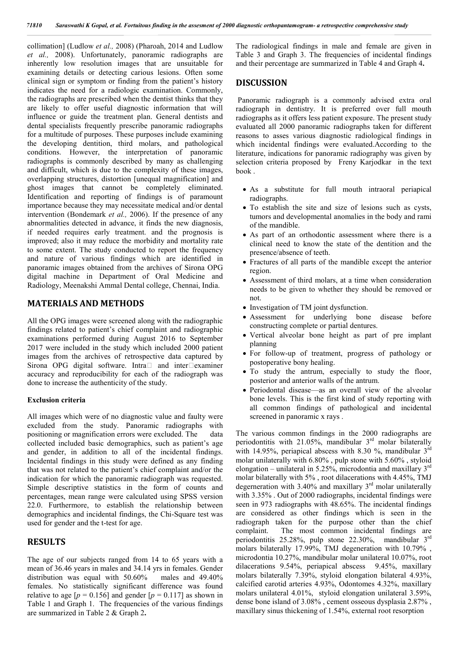collimation] (Ludlow *et al.,* 2008) (Pharoah, 2014 and Ludlow *et al.,* 2008). Unfortunately, panoramic radiographs are inherently low resolution images that are unsuitable for examining details or detecting carious lesions. Often some clinical sign or symptom or finding from the patient's history indicates the need for a radiologic examination. Commonly, the radiographs are prescribed when the dentist thinks that they are likely to offer useful diagnostic information that will influence or guide the treatment plan. General dentists and dental specialists frequently prescribe panoramic radiographs for a multitude of purposes. These purposes include examining the developing dentition, third molars, and pathological conditions. However, the interpretation of panoramic radiographs is commonly described by many as challenging and difficult, which is due to the complexity of these images, overlapping structures, distortion [unequal magnification] and ghost images that cannot be completely eliminated. Identification and reporting of findings is of paramount importance because they may necessitate medical and/or dental intervention (Bondemark *et al.,* 2006). If the presence of any abnormalities detected in advance, it finds the new diagnosis, if needed requires early treatment. and the prognosis is improved; also it may reduce the morbidity and mortality rate to some extent. The study conducted to report the frequency and nature of various findings which are identified in panoramic images obtained from the archives of Sirona OPG digital machine in Department of Oral Medicine and Radiology, Meenakshi Ammal Dental college, Chennai, India.

# **MATERIALS AND METHODS**

All the OPG images were screened along with the radiographic findings related to patient's chief complaint and radiographic examinations performed during August 2016 to September 2017 were included in the study which included 2000 patient images from the archives of retrospective data captured by Sirona OPG digital software. Intra $\Box$  and inter $\Box$ examiner accuracy and reproducibility for each of the radiograph was done to increase the authenticity of the study.

#### **Exclusion criteria**

All images which were of no diagnostic value and faulty were excluded from the study. Panoramic radiographs with positioning or magnification errors were excluded. The data collected included basic demographics, such as patient's age and gender, in addition to all of the incidental findings. Incidental findings in this study were defined as any finding that was not related to the patient's chief complaint and/or the indication for which the panoramic radiograph was requested. Simple descriptive statistics in the form of counts and percentages, mean range were calculated using SPSS version 22.0. Furthermore, to establish the relationship between demographics and incidental findings, the Chi-Square test was used for gender and the t-test for age.

## **RESULTS**

The age of our subjects ranged from 14 to 65 years with a mean of 36.46 years in males and 34.14 yrs in females. Gender distribution was equal with 50.60% males and 49.40% females. No statistically significant difference was found relative to age  $[p = 0.156]$  and gender  $[p = 0.117]$  as shown in Table 1 and Graph 1. The frequencies of the various findings are summarized in Table 2 & Graph 2**.**

The radiological findings in male and female are given in Table 3 and Graph 3. The frequencies of incidental findings and their percentage are summarized in Table 4 and Graph 4**.** 

## **DISCUSSION**

Panoramic radiograph is a commonly advised extra oral radiograph in dentistry. It is preferred over full mouth radiographs as it offers less patient exposure. The present study evaluated all 2000 panoramic radiographs taken for different reasons to asses various diagnostic radiological findings in which incidental findings were evaluated.According to the literature, indications for panoramic radiography was given by selection criteria proposed by Freny Karjodkar in the text book .

- As a substitute for full mouth intraoral periapical radiographs.
- To establish the site and size of lesions such as cysts, tumors and developmental anomalies in the body and rami of the mandible.
- As part of an orthodontic assessment where there is a clinical need to know the state of the dentition and the presence/absence of teeth.
- Fractures of all parts of the mandible except the anterior region.
- Assessment of third molars, at a time when consideration needs to be given to whether they should be removed or not.
- Investigation of TM joint dysfunction.
- Assessment for underlying bone disease before constructing complete or partial dentures.
- Vertical alveolar bone height as part of pre implant planning
- For follow-up of treatment, progress of pathology or postoperative bony healing.
- To study the antrum, especially to study the floor, posterior and anterior walls of the antrum.
- Periodontal disease—as an overall view of the alveolar bone levels. This is the first kind of study reporting with all common findings of pathological and incidental screened in panoramic x rays .

The various common findings in the 2000 radiographs are periodontitis with 21.05%, mandibular  $3<sup>rd</sup>$  molar bilaterally with 14.95%, periapical abscess with 8.30 %, mandibular  $3<sup>rd</sup>$ molar unilaterally with 6.80% , pulp stone with 5.60% , styloid elongation – unilateral in 5.25%, microdontia and maxillary  $3<sup>rd</sup>$ molar bilaterally with 5% , root dilacerations with 4.45%, TMJ degerneration with 3.40% and maxillary  $3<sup>rd</sup>$  molar unilaterally with 3.35% . Out of 2000 radiographs, incidental findings were seen in 973 radiographs with 48.65%. The incidental findings are considered as other findings which is seen in the radiograph taken for the purpose other than the chief complaint. The most common incidental findings are periodontitis 25.28%, pulp stone 22.30%, mandibular  $3<sup>rd</sup>$ molars bilaterally 17.99%, TMJ degeneration with 10.79% , microdontia 10.27%, mandibular molar unilateral 10.07%, root dilacerations 9.54%, periapical abscess 9.45%, maxillary molars bilaterally 7.39%, styloid elongation bilateral 4.93%, calcified carotid arteries 4.93%, Odontomes 4.32%, maxillary molars unilateral 4.01%, styloid elongation unilateral 3.59%, dense bone island of 3.08% , cement osseous dysplasia 2.87% , maxillary sinus thickening of 1.54%, external root resorption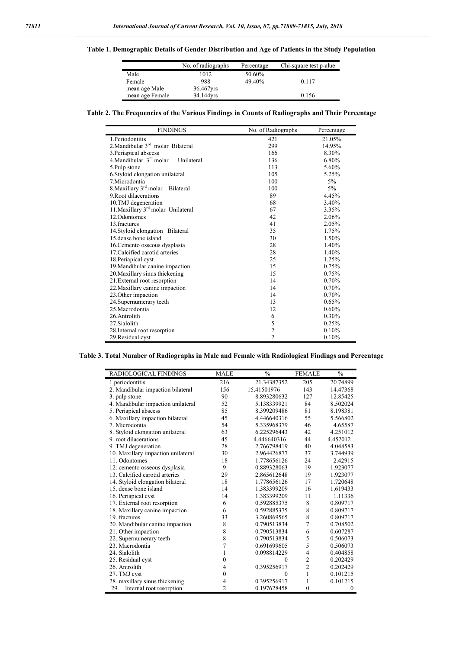# **Table 1. Demographic Details of Gender Distribution and Age of Patients in the Study Population**

|                 | No. of radiographs | Percentage | Chi-square test p-alue |
|-----------------|--------------------|------------|------------------------|
| Male            | 1012               | 50.60%     |                        |
| Female          | 988                | 49.40%     | 0.117                  |
| mean age Male   | 36.467yrs          |            |                        |
| mean age Female | 34.144yrs          |            | 0.156                  |

**Table 2. The Frequencies of the Various Findings in Counts of Radiographs and Their Percentage**

| <b>FINDINGS</b>                                | No. of Radiographs      | Percentage |
|------------------------------------------------|-------------------------|------------|
| 1.Periodontitis                                | 421                     | 21.05%     |
| 2. Mandibular $3rd$ molar Bilateral            | 299                     | 14.95%     |
| 3. Periapical abscess                          | 166                     | 8.30%      |
| 4.Mandibular 3rd molar<br>Unilateral           | 136                     | 6.80%      |
| 5.Pulp stone                                   | 113                     | 5.60%      |
| 6. Styloid elongation unilateral               | 105                     | 5.25%      |
| 7 Microdontia                                  | 100                     | 5%         |
| 8. Maxillary 3 <sup>rd</sup> molar Bilateral   | 100                     | $5\%$      |
| 9 Root dilacerations                           | 89                      | 4.45%      |
| 10.TMJ degeneration                            | 68                      | 3.40%      |
| 11. Maxillary 3 <sup>rd</sup> molar Unilateral | 67                      | 3.35%      |
| 12. Odontomes                                  | 42                      | 2.06%      |
| 13 fractures                                   | 41                      | 2.05%      |
| 14. Styloid elongation Bilateral               | 35                      | 1.75%      |
| 15 dense bone island                           | 30                      | 1.50%      |
| 16. Cemento osseous dysplasia                  | 28                      | 1.40%      |
| 17. Calcified carotid arteries                 | 28                      | 1.40%      |
| 18. Periapical cyst                            | 25                      | 1.25%      |
| 19. Mandibular canine impaction                | 15                      | 0.75%      |
| 20. Maxillary sinus thickening                 | 15                      | 0.75%      |
| 21. External root resorption                   | 14                      | 0.70%      |
| 22. Maxillary canine impaction                 | 14                      | 0.70%      |
| 23. Other impaction                            | 14                      | 0.70%      |
| 24. Supernumerary teeth                        | 13                      | 0.65%      |
| 25 Macrodontia                                 | 12                      | $0.60\%$   |
| 26.Antrolith                                   | 6                       | 0.30%      |
| 27. Sialolith                                  | 5                       | 0.25%      |
| 28. Internal root resorption                   | $\overline{\mathbf{c}}$ | 0.10%      |
| 29. Residual cyst                              | $\overline{c}$          | 0.10%      |

# **Table 3. Total Number of Radiographs in Male and Female with Radiological Findings and Percentage**

| <b>RADIOLOGICAL FINDINGS</b>       | <b>MALE</b> | $\frac{0}{0}$ | <b>FEMALE</b>  | $\frac{0}{0}$ |
|------------------------------------|-------------|---------------|----------------|---------------|
| 1.periodontitis                    | 216         | 21.34387352   | 205            | 20.74899      |
| 2. Mandibular impaction bilateral  | 156         | 15.41501976   | 143            | 14.47368      |
| 3. pulp stone                      | 90          | 8.893280632   | 127            | 12.85425      |
| 4. Mandibular impaction unilateral | 52          | 5.138339921   | 84             | 8.502024      |
| 5. Periapical abscess              | 85          | 8.399209486   | 81             | 8.198381      |
| 6. Maxillary impaction bilateral   | 45          | 4.446640316   | 55             | 5.566802      |
| 7. Microdontia                     | 54          | 5.335968379   | 46             | 4.65587       |
| 8. Styloid elongation unilateral   | 63          | 6.225296443   | 42             | 4.251012      |
| 9. root dilacerations              | 45          | 4.446640316   | 44             | 4.452012      |
| 9. TMJ degeneration                | 28          | 2.766798419   | 40             | 4.048583      |
| 10. Maxillary impaction unilateral | 30          | 2.964426877   | 37             | 3.744939      |
| 11. Odontomes                      | 18          | 1.778656126   | 24             | 2.42915       |
| 12. cemento osseous dysplasia      | 9           | 0.889328063   | 19             | 1.923077      |
| 13. Calcified carotid arteries     | 29          | 2.865612648   | 19             | 1.923077      |
| 14. Styloid elongation bilateral   | 18          | 1.778656126   | 17             | 1.720648      |
| 15. dense bone island              | 14          | 1.383399209   | 16             | 1.619433      |
| 16. Periapical cyst                | 14          | 1.383399209   | 11             | 1.11336       |
| 17. External root resorption       | 6           | 0.592885375   | 8              | 0.809717      |
| 18. Maxillary canine impaction     | 6           | 0.592885375   | 8              | 0.809717      |
| 19. fractures                      | 33          | 3.260869565   | 8              | 0.809717      |
| 20. Mandibular canine impaction    | 8           | 0.790513834   | 7              | 0.708502      |
| 21. Other impaction                | 8           | 0.790513834   | 6              | 0.607287      |
| 22. Supernumerary teeth            | 8           | 0.790513834   | 5              | 0.506073      |
| 23. Macrodontia                    | 7           | 0.691699605   | 5              | 0.506073      |
| 24. Sialolith                      | 1           | 0.098814229   | $\overline{4}$ | 0.404858      |
| 25. Residual cyst                  | 0           | $\mathbf{0}$  | $\overline{2}$ | 0.202429      |
| 26. Antrolith                      | 4           | 0.395256917   | $\overline{2}$ | 0.202429      |
| 27. TMJ cyst                       | 0           | $\theta$      | 1              | 0.101215      |
| 28. maxillary sinus thickening     | 4           | 0.395256917   | 1              | 0.101215      |
| 29.<br>Internal root resorption    | 2           | 0.197628458   | $\mathbf{0}$   | $\mathbf{0}$  |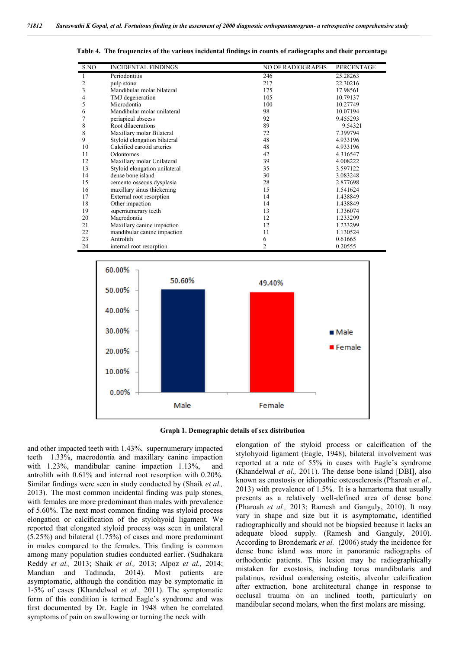| S.NO           | <b>INCIDENTAL FINDINGS</b>    | <b>NO OF RADIOGRAPHS</b> | PERCENTAGE |
|----------------|-------------------------------|--------------------------|------------|
| 1              | Periodontitis                 | 246                      | 25.28263   |
| $\overline{c}$ | pulp stone                    | 217                      | 22.30216   |
| 3              | Mandibular molar bilateral    | 175                      | 17.98561   |
| 4              | TMJ degeneration              | 105                      | 10.79137   |
| 5              | Microdontia                   | 100                      | 10.27749   |
| 6              | Mandibular molar unilateral   | 98                       | 10.07194   |
| 7              | periapical abscess            | 92                       | 9.455293   |
| 8              | Root dilacerations            | 89                       | 9.54321    |
| 8              | Maxillary molar Bilateral     | 72                       | 7.399794   |
| 9              | Styloid elongation bilateral  | 48                       | 4.933196   |
| 10             | Calcified carotid arteries    | 48                       | 4.933196   |
| 11             | Odontomes                     | 42                       | 4.316547   |
| 12             | Maxillary molar Unilateral    | 39                       | 4.008222   |
| 13             | Styloid elongation unilateral | 35                       | 3.597122   |
| 14             | dense bone island             | 30                       | 3.083248   |
| 15             | cemento osseous dysplasia     | 28                       | 2.877698   |
| 16             | maxillary sinus thickening    | 15                       | 1.541624   |
| 17             | External root resorption      | 14                       | 1.438849   |
| 18             | Other impaction               | 14                       | 1.438849   |
| 19             | supernumerary teeth           | 13                       | 1.336074   |
| 20             | Macrodontia                   | 12                       | 1.233299   |
| 21             | Maxillary canine impaction    | 12                       | 1.233299   |
| 22             | mandibular canine impaction   | 11                       | 1.130524   |
| 23             | Antrolith                     | 6                        | 0.61665    |
| 24             | internal root resorption      | 2                        | 0.20555    |

**Table 4. The frequencies of the various incidental findings in counts of radiographs and their percentage**





and other impacted teeth with 1.43%, supernumerary impacted teeth 1.33%, macrodontia and maxillary canine impaction with 1.23%, mandibular canine impaction 1.13%, and antrolith with 0.61% and internal root resorption with 0.20%. Similar findings were seen in study conducted by (Shaik *et al.,*  2013). The most common incidental finding was pulp stones, with females are more predominant than males with prevalence of 5.60%. The next most common finding was styloid process elongation or calcification of the stylohyoid ligament. We reported that elongated styloid process was seen in unilateral (5.25%) and bilateral (1.75%) of cases and more predominant in males compared to the females. This finding is common among many population studies conducted earlier. (Sudhakara Reddy *et al.,* 2013; Shaik *et al.,* 2013; Alpoz *et al.,* 2014; Mandian and Tadinada, 2014). Most patients are asymptomatic, although the condition may be symptomatic in 1-5% of cases (Khandelwal *et al.,* 2011). The symptomatic form of this condition is termed Eagle's syndrome and was first documented by Dr. Eagle in 1948 when he correlated symptoms of pain on swallowing or turning the neck with

elongation of the styloid process or calcification of the stylohyoid ligament (Eagle, 1948), bilateral involvement was reported at a rate of 55% in cases with Eagle's syndrome (Khandelwal *et al.,* 2011). The dense bone island [DBI], also known as enostosis or idiopathic osteosclerosis (Pharoah *et al.,*  2013) with prevalence of 1.5%. It is a hamartoma that usually presents as a relatively well-defined area of dense bone (Pharoah *et al.,* 2013; Ramesh and Ganguly, 2010). It may vary in shape and size but it is asymptomatic, identified radiographically and should not be biopsied because it lacks an adequate blood supply. (Ramesh and Ganguly, 2010). According to Brondemark *et al.* (2006) study the incidence for dense bone island was more in panoramic radiographs of orthodontic patients. This lesion may be radiographically mistaken for exostosis, including torus mandibularis and palatinus, residual condensing osteitis, alveolar calcification after extraction, bone architectural change in response to occlusal trauma on an inclined tooth, particularly on mandibular second molars, when the first molars are missing.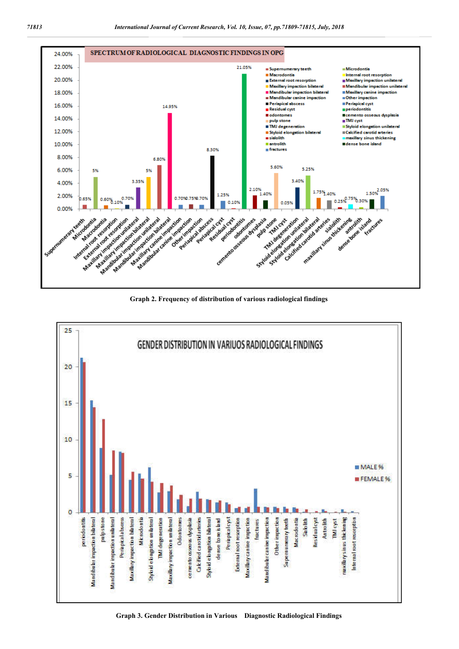

**Graph 2. Frequency of distribution of various radiological findings**



**Graph 3. Gender Distribution in Various Diagnostic Radiological Findings**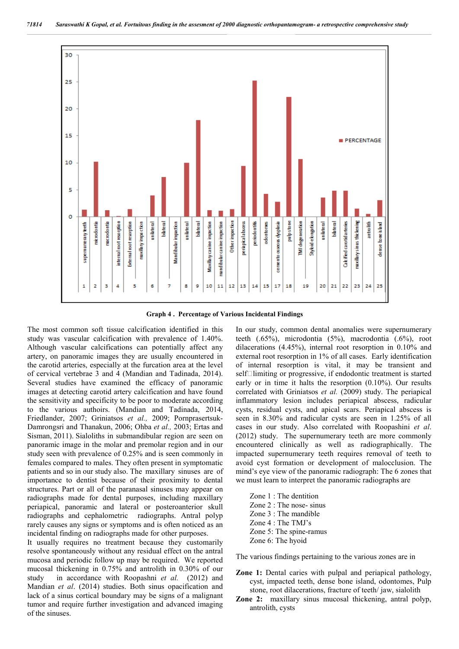

**Graph 4 . Percentage of Various Incidental Findings**

The most common soft tissue calcification identified in this study was vascular calcification with prevalence of 1.40%. Although vascular calcifications can potentially affect any artery, on panoramic images they are usually encountered in the carotid arteries, especially at the furcation area at the level of cervical vertebrae 3 and 4 (Mandian and Tadinada, 2014). Several studies have examined the efficacy of panoramic images at detecting carotid artery calcification and have found the sensitivity and specificity to be poor to moderate according to the various authoirs. (Mandian and Tadinada, 2014, Friedlander, 2007; Griniatsos *et al.,* 2009; Pornprasertsuk-Damrongsri and Thanakun, 2006; Ohba *et al.,* 2003; Ertas and Sisman, 2011). Sialoliths in submandibular region are seen on panoramic image in the molar and premolar region and in our study seen with prevalence of 0.25% and is seen commonly in females compared to males. They often present in symptomatic patients and so in our study also. The maxillary sinuses are of importance to dentist because of their proximity to dental structures. Part or all of the paranasal sinuses may appear on radiographs made for dental purposes, including maxillary periapical, panoramic and lateral or posteroanterior skull radiographs and cephalometric radiographs. Antral polyp rarely causes any signs or symptoms and is often noticed as an incidental finding on radiographs made for other purposes.

It usually requires no treatment because they customarily resolve spontaneously without any residual effect on the antral mucosa and periodic follow up may be required. We reported mucosal thickening in 0.75% and antrolith in 0.30% of our study in accordance with Roopashni et al. (2012) and Mandian *et al*. (2014) studies. Both sinus opacification and lack of a sinus cortical boundary may be signs of a malignant tumor and require further investigation and advanced imaging of the sinuses.

In our study, common dental anomalies were supernumerary teeth (.65%), microdontia (5%), macrodontia (.6%), root dilacerations (4.45%), internal root resorption in 0.10% and external root resorption in 1% of all cases. Early identification of internal resorption is vital, it may be transient and  $self$ limiting or progressive, if endodontic treatment is started early or in time it halts the resorption (0.10%). Our results correlated with Griniatsos *et al.* (2009) study. The periapical inflammatory lesion includes periapical abscess, radicular cysts, residual cysts, and apical scars. Periapical abscess is seen in 8.30% and radicular cysts are seen in 1.25% of all cases in our study. Also correlated with Roopashini *et al*. (2012) study. The supernumerary teeth are more commonly encountered clinically as well as radiographically. The impacted supernumerary teeth requires removal of teeth to avoid cyst formation or development of malocclusion. The mind's eye view of the panoramic radiograph: The 6 zones that we must learn to interpret the panoramic radiographs are

Zone 1 : The dentition Zone 2 : The nose- sinus Zone 3 : The mandible Zone 4 : The TMJ's Zone 5: The spine-ramus Zone 6: The hyoid

The various findings pertaining to the various zones are in

- **Zone 1:** Dental caries with pulpal and periapical pathology, cyst, impacted teeth, dense bone island, odontomes, Pulp stone, root dilacerations, fracture of teeth/ jaw, sialolith
- **Zone 2:** maxillary sinus mucosal thickening, antral polyp, antrolith, cysts